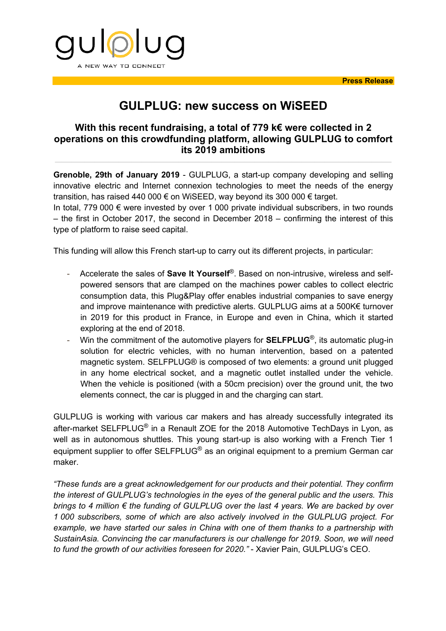

## **GULPLUG: new success on WiSEED**

## **With this recent fundraising, a total of 779 k€ were collected in 2 operations on this crowdfunding platform, allowing GULPLUG to comfort its 2019 ambitions**

**Grenoble, 29th of January 2019** - GULPLUG, a start-up company developing and selling innovative electric and Internet connexion technologies to meet the needs of the energy transition, has raised 440 000 € on WiSEED, way beyond its 300 000 € target.

In total, 779 000  $\epsilon$  were invested by over 1 000 private individual subscribers, in two rounds – the first in October 2017, the second in December 2018 – confirming the interest of this type of platform to raise seed capital.

This funding will allow this French start-up to carry out its different projects, in particular:

- Accelerate the sales of **Save It Yourself**®. Based on non-intrusive, wireless and selfpowered sensors that are clamped on the machines power cables to collect electric consumption data, this Plug&Play offer enables industrial companies to save energy and improve maintenance with predictive alerts. GULPLUG aims at a 500K€ turnover in 2019 for this product in France, in Europe and even in China, which it started exploring at the end of 2018.
- Win the commitment of the automotive players for **SELFPLUG**®, its automatic plug-in solution for electric vehicles, with no human intervention, based on a patented magnetic system. SELFPLUG® is composed of two elements: a ground unit plugged in any home electrical socket, and a magnetic outlet installed under the vehicle. When the vehicle is positioned (with a 50cm precision) over the ground unit, the two elements connect, the car is plugged in and the charging can start.

GULPLUG is working with various car makers and has already successfully integrated its after-market SELFPLUG<sup>®</sup> in a Renault ZOE for the 2018 Automotive TechDays in Lyon, as well as in autonomous shuttles. This young start-up is also working with a French Tier 1 equipment supplier to offer SELFPLUG<sup>®</sup> as an original equipment to a premium German car maker.

*"These funds are a great acknowledgement for our products and their potential. They confirm the interest of GULPLUG's technologies in the eyes of the general public and the users. This brings to 4 million € the funding of GULPLUG over the last 4 years. We are backed by over 1 000 subscribers, some of which are also actively involved in the GULPLUG project. For example, we have started our sales in China with one of them thanks to a partnership with SustainAsia. Convincing the car manufacturers is our challenge for 2019. Soon, we will need to fund the growth of our activities foreseen for 2020."* - Xavier Pain, GULPLUG's CEO.